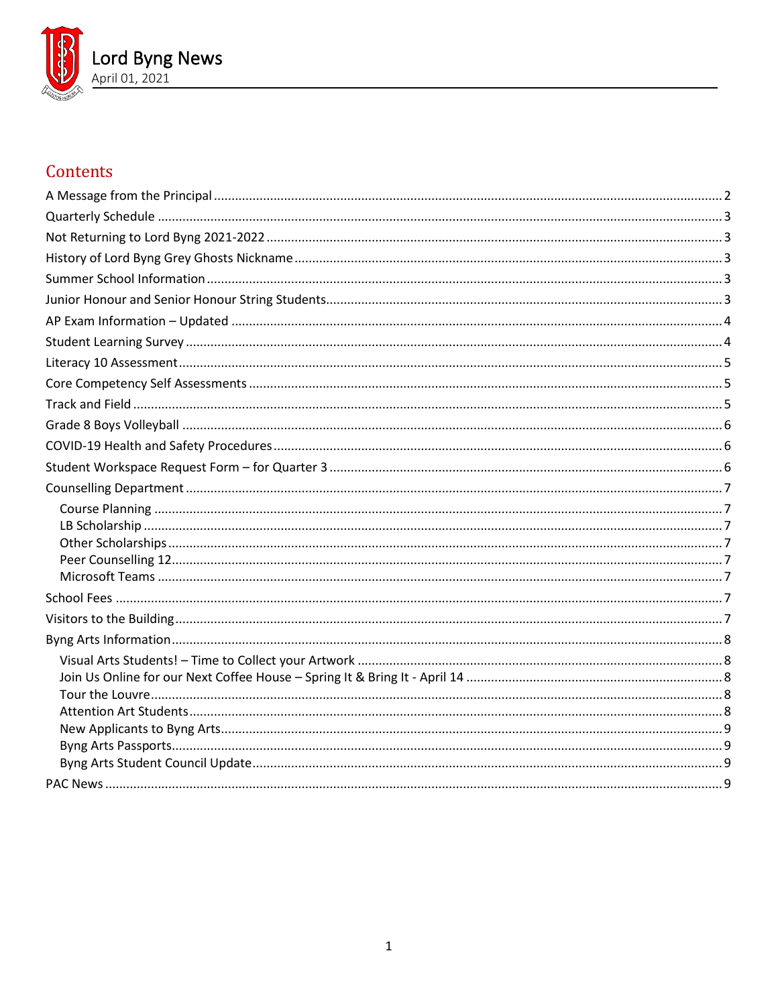

# Contents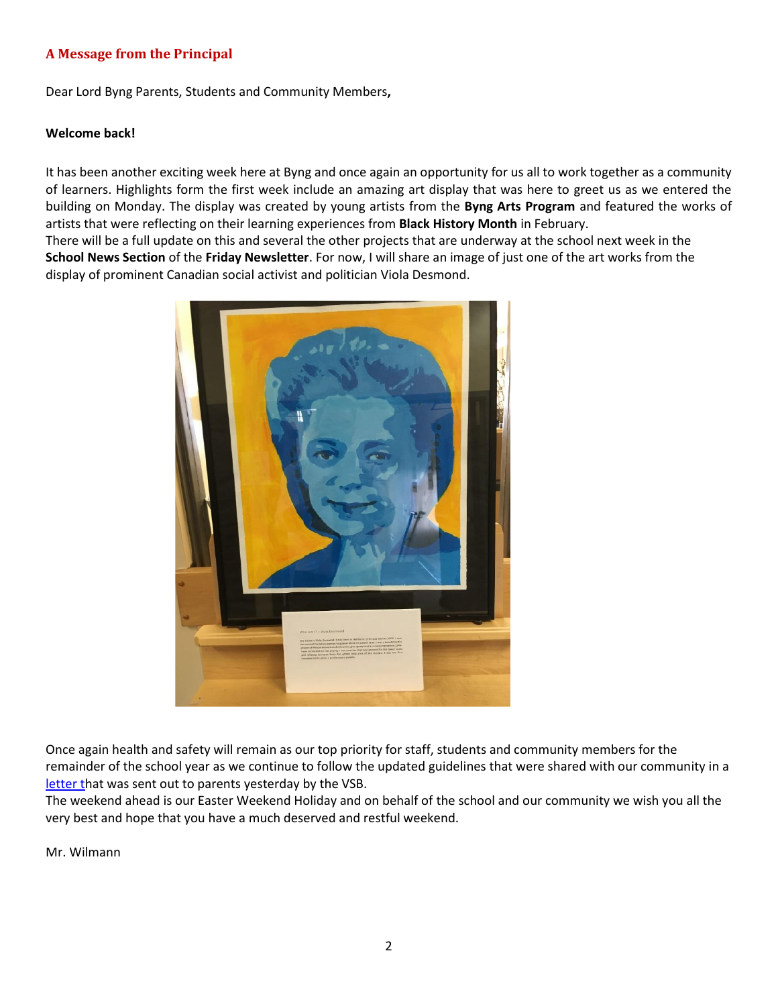## <span id="page-1-0"></span>**A Message from the Principal**

Dear Lord Byng Parents, Students and Community Members**,**

### **Welcome back!**

It has been another exciting week here at Byng and once again an opportunity for us all to work together as a community of learners. Highlights form the first week include an amazing art display that was here to greet us as we entered the building on Monday. The display was created by young artists from the **Byng Arts Program** and featured the works of artists that were reflecting on their learning experiences from **Black History Month** in February.

There will be a full update on this and several the other projects that are underway at the school next week in the **School News Section** of the **Friday Newsletter**. For now, I will share an image of just one of the art works from the display of prominent Canadian social activist and politician Viola Desmond.



Once again health and safety will remain as our top priority for staff, students and community members for the remainder of the school year as we continue to follow the updated guidelines that were shared with our community in a [letter th](https://www.vsb.bc.ca/schools/lord-byng/About-Us/Publications/Documents/20210331_LettertoFamilies_masks.pdf)at was sent out to parents yesterday by the VSB.

The weekend ahead is our Easter Weekend Holiday and on behalf of the school and our community we wish you all the very best and hope that you have a much deserved and restful weekend.

Mr. Wilmann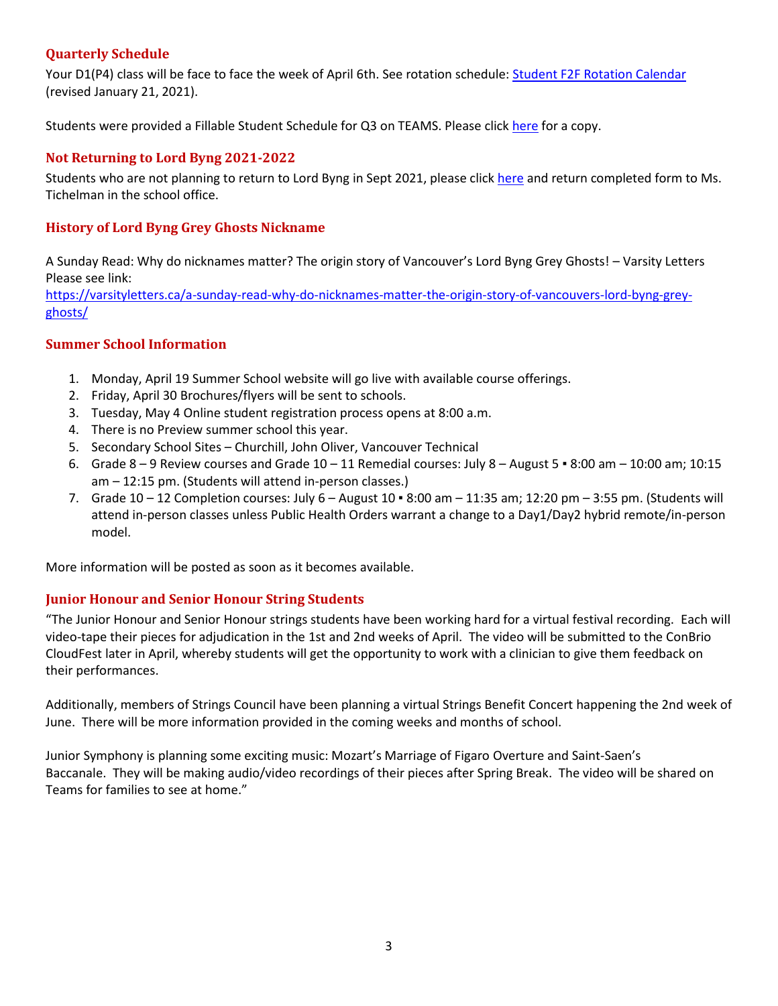# <span id="page-2-0"></span>**Quarterly Schedule**

Your D1(P4) class will be face to face the week of April 6th. See rotation schedule: [Student F2F Rotation Calendar](https://www.vsb.bc.ca/repository/SBAttachments/8e11130a-23bc-4157-9294-1c252018cc4d_STUDENTF2FandRemoteBlockCalendar2020-2021RevisedJan212021.pdf) (revised January 21, 2021).

Students were provided a Fillable Student Schedule for Q3 on TEAMS. Please click [here](https://www.vsb.bc.ca/repository/SBAttachments/fed7ecd3-21fb-4c8b-98e7-d128237eb9b2_FillableQ3studentschedule.pdf) for a copy.

# <span id="page-2-1"></span>**Not Returning to Lord Byng 2021-2022**

Students who are not planning to return to Lord Byng in Sept 2021, please clic[k here](https://www.vsb.bc.ca/schools/lord-byng/About-Us/Publications/Documents/Not%20Returning%20to%20Lord%20Byng%202021-2022.pdf) and return completed form to Ms. Tichelman in the school office.

# <span id="page-2-2"></span>**History of Lord Byng Grey Ghosts Nickname**

A Sunday Read: Why do nicknames matter? The origin story of Vancouver's Lord Byng Grey Ghosts! – Varsity Letters Please see link:

[https://varsityletters.ca/a-sunday-read-why-do-nicknames-matter-the-origin-story-of-vancouvers-lord-byng-grey](https://varsityletters.ca/a-sunday-read-why-do-nicknames-matter-the-origin-story-of-vancouvers-lord-byng-grey-ghosts/)[ghosts/](https://varsityletters.ca/a-sunday-read-why-do-nicknames-matter-the-origin-story-of-vancouvers-lord-byng-grey-ghosts/)

# <span id="page-2-3"></span>**Summer School Information**

- 1. Monday, April 19 Summer School website will go live with available course offerings.
- 2. Friday, April 30 Brochures/flyers will be sent to schools.
- 3. Tuesday, May 4 Online student registration process opens at 8:00 a.m.
- 4. There is no Preview summer school this year.
- 5. Secondary School Sites Churchill, John Oliver, Vancouver Technical
- 6. Grade  $8 9$  Review courses and Grade  $10 11$  Remedial courses: July  $8 -$  August  $5 \cdot 8:00$  am  $10:00$  am; 10:15 am – 12:15 pm. (Students will attend in-person classes.)
- 7. Grade  $10 12$  Completion courses: July  $6 -$  August  $10 8:00$  am  $11:35$  am;  $12:20$  pm  $3:55$  pm. (Students will attend in-person classes unless Public Health Orders warrant a change to a Day1/Day2 hybrid remote/in-person model.

<span id="page-2-4"></span>More information will be posted as soon as it becomes available.

# **Junior Honour and Senior Honour String Students**

"The Junior Honour and Senior Honour strings students have been working hard for a virtual festival recording. Each will video-tape their pieces for adjudication in the 1st and 2nd weeks of April. The video will be submitted to the ConBrio CloudFest later in April, whereby students will get the opportunity to work with a clinician to give them feedback on their performances.

Additionally, members of Strings Council have been planning a virtual Strings Benefit Concert happening the 2nd week of June. There will be more information provided in the coming weeks and months of school.

Junior Symphony is planning some exciting music: Mozart's Marriage of Figaro Overture and Saint-Saen's Baccanale. They will be making audio/video recordings of their pieces after Spring Break. The video will be shared on Teams for families to see at home."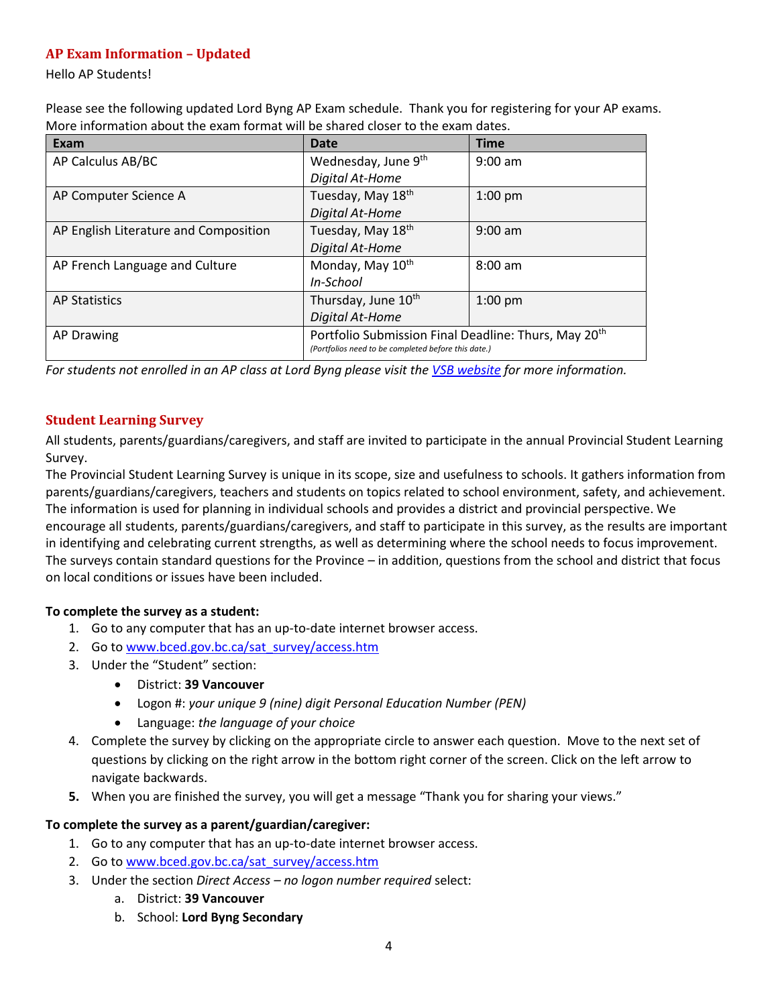# <span id="page-3-0"></span>**AP Exam Information – Updated**

Hello AP Students!

Please see the following updated Lord Byng AP Exam schedule. Thank you for registering for your AP exams. More information about the exam format will be shared closer to the exam dates.

| Exam                                  | Date                                                                                                                    | <b>Time</b> |
|---------------------------------------|-------------------------------------------------------------------------------------------------------------------------|-------------|
| AP Calculus AB/BC                     | Wednesday, June 9th                                                                                                     | $9:00$ am   |
|                                       | Digital At-Home                                                                                                         |             |
| AP Computer Science A                 | Tuesday, May 18 <sup>th</sup>                                                                                           | $1:00$ pm   |
|                                       | Digital At-Home                                                                                                         |             |
| AP English Literature and Composition | Tuesday, May 18th                                                                                                       | $9:00$ am   |
|                                       | Digital At-Home                                                                                                         |             |
| AP French Language and Culture        | Monday, May 10 <sup>th</sup>                                                                                            | $8:00$ am   |
|                                       | In-School                                                                                                               |             |
| <b>AP Statistics</b>                  | Thursday, June 10th                                                                                                     | $1:00$ pm   |
|                                       | Digital At-Home                                                                                                         |             |
| AP Drawing                            | Portfolio Submission Final Deadline: Thurs, May 20 <sup>th</sup><br>(Portfolios need to be completed before this date.) |             |

*For students not enrolled in an AP class at Lord Byng please visit the [VSB website](https://www.vsb.bc.ca/Student_Learning/Secondary/Advanced_Placement_Exams/Pages/Default.aspx) for more information.*

# <span id="page-3-1"></span>**Student Learning Survey**

All students, parents/guardians/caregivers, and staff are invited to participate in the annual Provincial Student Learning Survey.

The Provincial Student Learning Survey is unique in its scope, size and usefulness to schools. It gathers information from parents/guardians/caregivers, teachers and students on topics related to school environment, safety, and achievement. The information is used for planning in individual schools and provides a district and provincial perspective. We encourage all students, parents/guardians/caregivers, and staff to participate in this survey, as the results are important in identifying and celebrating current strengths, as well as determining where the school needs to focus improvement. The surveys contain standard questions for the Province – in addition, questions from the school and district that focus on local conditions or issues have been included.

# **To complete the survey as a student:**

- 1. Go to any computer that has an up-to-date internet browser access.
- 2. Go to www.bced.gov.bc.ca/sat\_survey/access.htm
- 3. Under the "Student" section:
	- District: **39 Vancouver**
	- Logon #: *your unique 9 (nine) digit Personal Education Number (PEN)*
	- Language: *the language of your choice*
- 4. Complete the survey by clicking on the appropriate circle to answer each question. Move to the next set of questions by clicking on the right arrow in the bottom right corner of the screen. Click on the left arrow to navigate backwards.
- **5.** When you are finished the survey, you will get a message "Thank you for sharing your views."

## **To complete the survey as a parent/guardian/caregiver:**

- 1. Go to any computer that has an up-to-date internet browser access.
- 2. Go to www.bced.gov.bc.ca/sat\_survey/access.htm
- 3. Under the section *Direct Access – no logon number required* select:
	- a. District: **39 Vancouver**
	- b. School: **Lord Byng Secondary**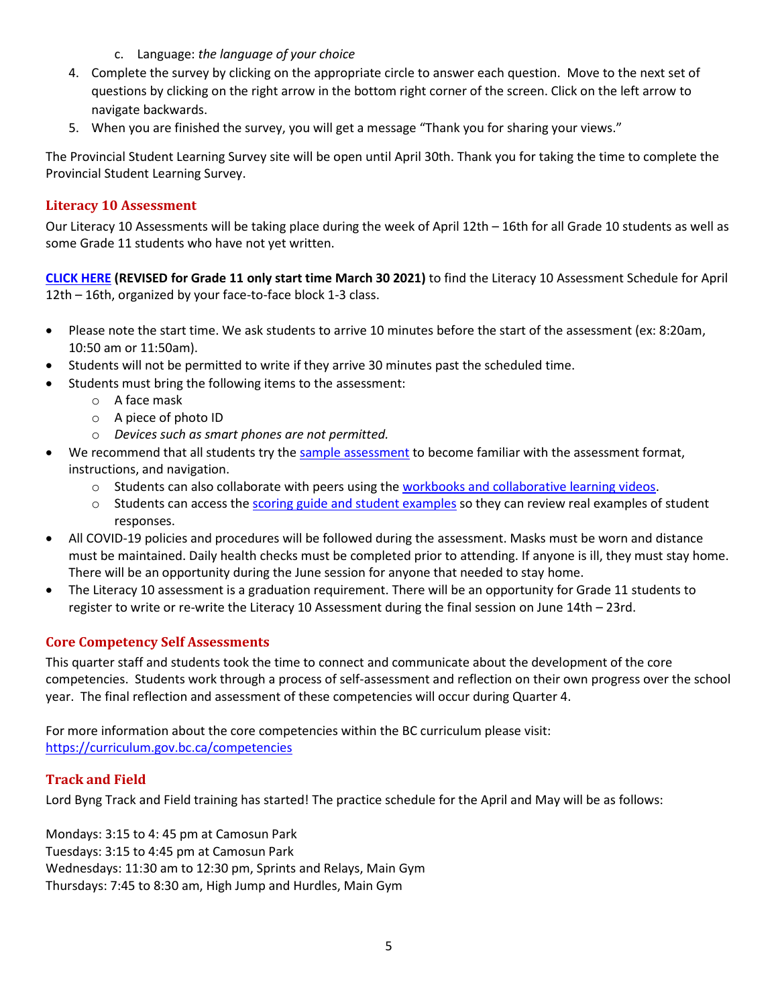- c. Language: *the language of your choice*
- 4. Complete the survey by clicking on the appropriate circle to answer each question. Move to the next set of questions by clicking on the right arrow in the bottom right corner of the screen. Click on the left arrow to navigate backwards.
- 5. When you are finished the survey, you will get a message "Thank you for sharing your views."

The Provincial Student Learning Survey site will be open until April 30th. Thank you for taking the time to complete the Provincial Student Learning Survey.

## <span id="page-4-0"></span>**Literacy 10 Assessment**

Our Literacy 10 Assessments will be taking place during the week of April 12th – 16th for all Grade 10 students as well as some Grade 11 students who have not yet written.

**[CLICK HERE](https://www.vsb.bc.ca/schools/lord-byng/About-Us/Publications/Documents/Exam%20Schedule%202%20for%20Students%20-%20Apr%202021%20-%20Literacy%20%20REVISED%20as%20of%20March%2030%202021.pdf) (REVISED for Grade 11 only start time March 30 2021)** to find the Literacy 10 Assessment Schedule for April 12th – 16th, organized by your face-to-face block 1-3 class.

- Please note the start time. We ask students to arrive 10 minutes before the start of the assessment (ex: 8:20am, 10:50 am or 11:50am).
- Students will not be permitted to write if they arrive 30 minutes past the scheduled time.
- Students must bring the following items to the assessment:
	- o A face mask
	- o A piece of photo ID
	- o *Devices such as smart phones are not permitted.*
- We recommend that all students try the [sample assessment](https://www.awinfosys.com/eassessment/gradassessments_sample.htm) to become familiar with the assessment format, instructions, and navigation.
	- $\circ$  Students can also collaborate with peers using the [workbooks and collaborative learning videos.](https://curriculum.gov.bc.ca/provincial/grade-10-literacy-assessment)
	- $\circ$  Students can access the [scoring guide and student examples](https://curriculum.gov.bc.ca/sites/curriculum.gov.bc.ca/files/pdf/assessment/GLA_10_Scoring_Guide_and_Student_Exemplars.pdf) so they can review real examples of student responses.
- All COVID-19 policies and procedures will be followed during the assessment. Masks must be worn and distance must be maintained. Daily health checks must be completed prior to attending. If anyone is ill, they must stay home. There will be an opportunity during the June session for anyone that needed to stay home.
- The Literacy 10 assessment is a graduation requirement. There will be an opportunity for Grade 11 students to register to write or re-write the Literacy 10 Assessment during the final session on June 14th – 23rd.

# <span id="page-4-1"></span>**Core Competency Self Assessments**

This quarter staff and students took the time to connect and communicate about the development of the core competencies. Students work through a process of self-assessment and reflection on their own progress over the school year. The final reflection and assessment of these competencies will occur during Quarter 4.

For more information about the core competencies within the BC curriculum please visit: <https://curriculum.gov.bc.ca/competencies>

## <span id="page-4-2"></span>**Track and Field**

Lord Byng Track and Field training has started! The practice schedule for the April and May will be as follows:

Mondays: 3:15 to 4: 45 pm at Camosun Park Tuesdays: 3:15 to 4:45 pm at Camosun Park Wednesdays: 11:30 am to 12:30 pm, Sprints and Relays, Main Gym Thursdays: 7:45 to 8:30 am, High Jump and Hurdles, Main Gym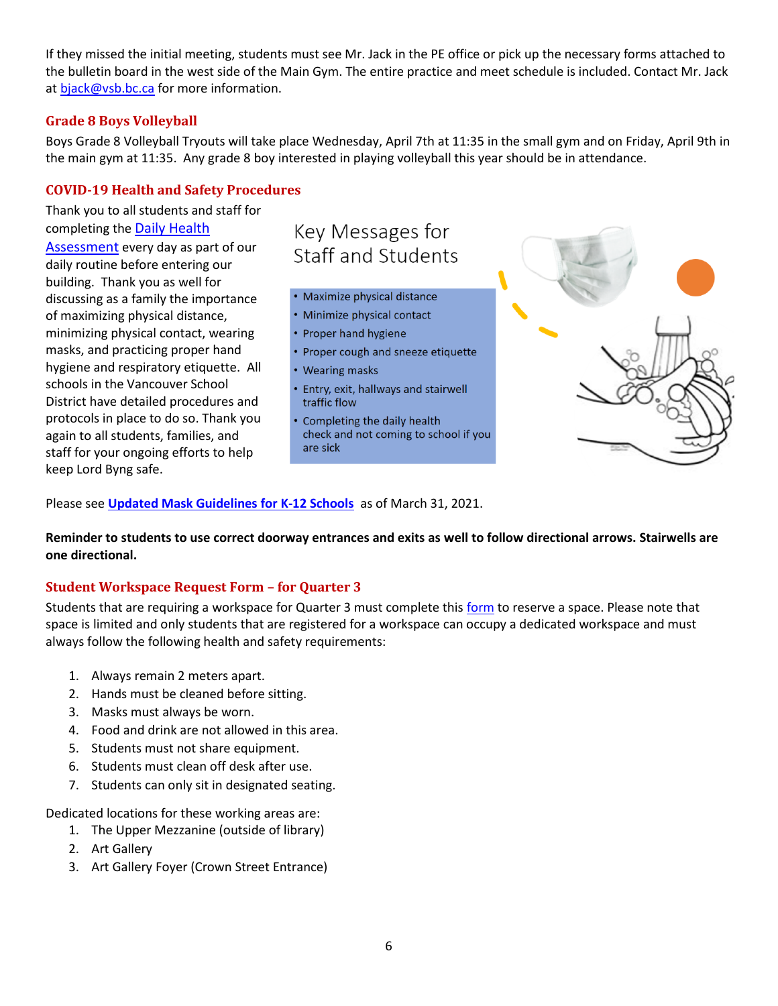If they missed the initial meeting, students must see Mr. Jack in the PE office or pick up the necessary forms attached to the bulletin board in the west side of the Main Gym. The entire practice and meet schedule is included. Contact Mr. Jack at [bjack@vsb.bc.ca](mailto:bjack@vsb.bc.ca) for more information.

## <span id="page-5-0"></span>**Grade 8 Boys Volleyball**

Boys Grade 8 Volleyball Tryouts will take place Wednesday, April 7th at 11:35 in the small gym and on Friday, April 9th in the main gym at 11:35. Any grade 8 boy interested in playing volleyball this year should be in attendance.

## <span id="page-5-1"></span>**COVID-19 Health and Safety Procedures**

Thank you to all students and staff for completing the [Daily Health](https://www.vsb.bc.ca/repository/SBAttachments/8e11130a-23bc-4157-9294-1c252018cc4d_COVID-19DailyHealthAssessment-Feb2021.pdf) 

[Assessment](https://www.vsb.bc.ca/repository/SBAttachments/8e11130a-23bc-4157-9294-1c252018cc4d_COVID-19DailyHealthAssessment-Feb2021.pdf) every day as part of our daily routine before entering our building. Thank you as well for discussing as a family the importance of maximizing physical distance, minimizing physical contact, wearing masks, and practicing proper hand hygiene and respiratory etiquette. All schools in the Vancouver School District have detailed procedures and protocols in place to do so. Thank you again to all students, families, and staff for your ongoing efforts to help keep Lord Byng safe.

# Key Messages for **Staff and Students**

- Maximize physical distance
- Minimize physical contact
- Proper hand hygiene
- Proper cough and sneeze etiquette
- Wearing masks
- Entry, exit, hallways and stairwell traffic flow
- Completing the daily health check and not coming to school if you are sick



Please see **[Updated Mask Guidelines for K-12 Schools](https://www.vsb.bc.ca/schools/lord-byng/About-Us/Publications/Documents/20210331_LettertoFamilies_masks.pdf)** as of March 31, 2021.

**Reminder to students to use correct doorway entrances and exits as well to follow directional arrows. Stairwells are one directional.**

# <span id="page-5-2"></span>**Student Workspace Request Form – for Quarter 3**

Students that are requiring a workspace for Quarter 3 must complete this [form](https://forms.office.com/Pages/ResponsePage.aspx?id=WC6KCzB7CEq6t9dVWeDjpcU6_SJBxJFAvnYu4EP3zdBUOE1DMDQwUkREWVY5NDZHTTI4Nk4wMzM5VC4u) to reserve a space. Please note that space is limited and only students that are registered for a workspace can occupy a dedicated workspace and must always follow the following health and safety requirements:

- 1. Always remain 2 meters apart.
- 2. Hands must be cleaned before sitting.
- 3. Masks must always be worn.
- 4. Food and drink are not allowed in this area.
- 5. Students must not share equipment.
- 6. Students must clean off desk after use.
- 7. Students can only sit in designated seating.

Dedicated locations for these working areas are:

- 1. The Upper Mezzanine (outside of library)
- 2. Art Gallery
- 3. Art Gallery Foyer (Crown Street Entrance)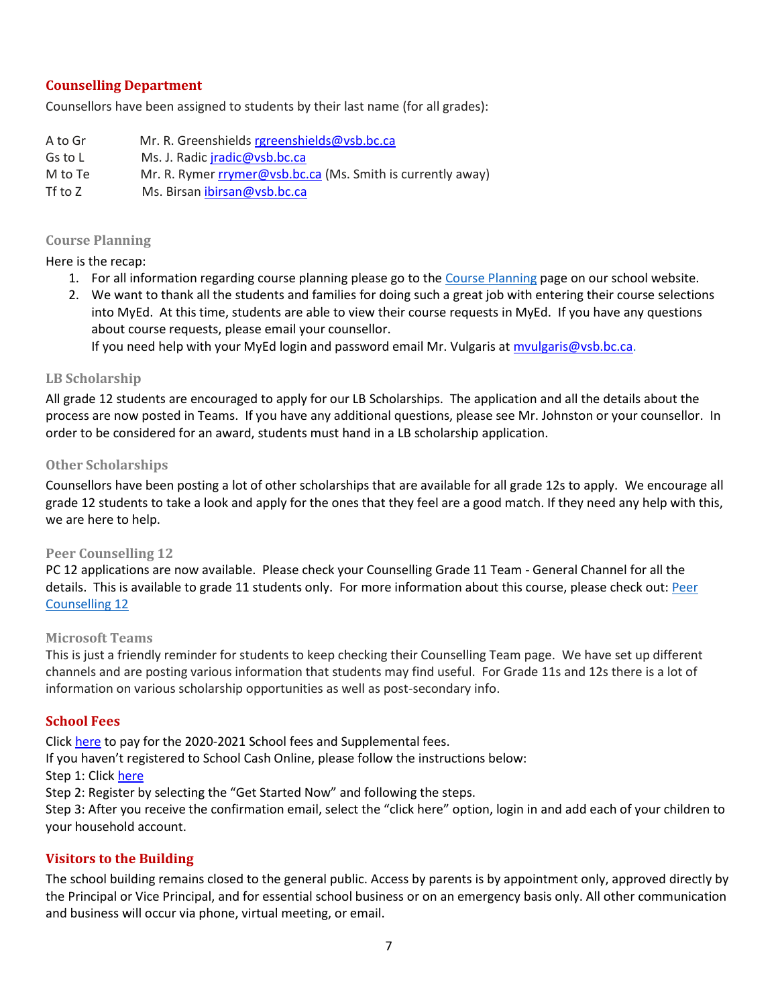## <span id="page-6-0"></span>**Counselling Department**

Counsellors have been assigned to students by their last name (for all grades):

- A to Gr Mr. R. Greenshields [rgreenshields@vsb.bc.ca](mailto:rgreenshields@vsb.bc.ca) Gs to L Ms. J. Radic [jradic@vsb.bc.ca](mailto:jradic@vsb.bc.ca) M to Te Mr. R. Rymer [rrymer@vsb.bc.ca](mailto:rrymer@vsb.bc.ca) (Ms. Smith is currently away)
- Tf to Z Ms. Birsan [ibirsan@vsb.bc.ca](mailto:ibirsan@vsb.bc.ca)

# <span id="page-6-1"></span>**Course Planning**

Here is the recap:

- 1. For all information regarding course planning please go to the [Course Planning](http://track.spe.schoolmessenger.com/f/a/epEVu_2nUM2nywwP3R0N_A~~/AAAAAQA~/RgRiFSUxP0RfaHR0cHM6Ly93d3cudnNiLmJjLmNhL3NjaG9vbHMvbG9yZC1ieW5nL0d1aWRhbmNlLWFuZC1TdXBwb3J0L0NvdXJzZS1QbGFubmluZy9QYWdlcy9kZWZhdWx0LmFzcHhXB3NjaG9vbG1CCmAusfEzYOqgbTZSEmtjb3VsdGVyQHZzYi5iYy5jYVgEAAAAAg~~) page on our school website.
- 2. We want to thank all the students and families for doing such a great job with entering their course selections into MyEd. At this time, students are able to view their course requests in MyEd. If you have any questions about course requests, please email your counsellor.

If you need help with your MyEd login and password email Mr. Vulgaris at [mvulgaris@vsb.bc.ca.](mailto:mvulgaris@vsb.bc.ca)

#### <span id="page-6-2"></span>**LB Scholarship**

All grade 12 students are encouraged to apply for our LB Scholarships. The application and all the details about the process are now posted in Teams. If you have any additional questions, please see Mr. Johnston or your counsellor. In order to be considered for an award, students must hand in a LB scholarship application.

## <span id="page-6-3"></span>**Other Scholarships**

Counsellors have been posting a lot of other scholarships that are available for all grade 12s to apply. We encourage all grade 12 students to take a look and apply for the ones that they feel are a good match. If they need any help with this, we are here to help.

#### <span id="page-6-4"></span>**Peer Counselling 12**

PC 12 applications are now available. Please check your Counselling Grade 11 Team - General Channel for all the details. This is available to grade 11 students only. For more information about this course, please check out: [Peer](https://www.vsb.bc.ca/schools/lord-byng/Teaching-and-Learning/Classes-and-Departments/Counselling/Pages/Peer-Counselling-12.aspx)  [Counselling 12](https://www.vsb.bc.ca/schools/lord-byng/Teaching-and-Learning/Classes-and-Departments/Counselling/Pages/Peer-Counselling-12.aspx)

## <span id="page-6-5"></span>**Microsoft Teams**

This is just a friendly reminder for students to keep checking their Counselling Team page. We have set up different channels and are posting various information that students may find useful. For Grade 11s and 12s there is a lot of information on various scholarship opportunities as well as post-secondary info.

## <span id="page-6-6"></span>**School Fees**

Click [here](https://vsb.schoolcashonline.com/) to pay for the 2020-2021 School fees and Supplemental fees.

If you haven't registered to School Cash Online, please follow the instructions below:

## Step 1: Clic[k here](https://vsb.schoolcashonline.com/)

Step 2: Register by selecting the "Get Started Now" and following the steps.

Step 3: After you receive the confirmation email, select the "click here" option, login in and add each of your children to your household account.

## <span id="page-6-7"></span>**Visitors to the Building**

The school building remains closed to the general public. Access by parents is by appointment only, approved directly by the Principal or Vice Principal, and for essential school business or on an emergency basis only. All other communication and business will occur via phone, virtual meeting, or email.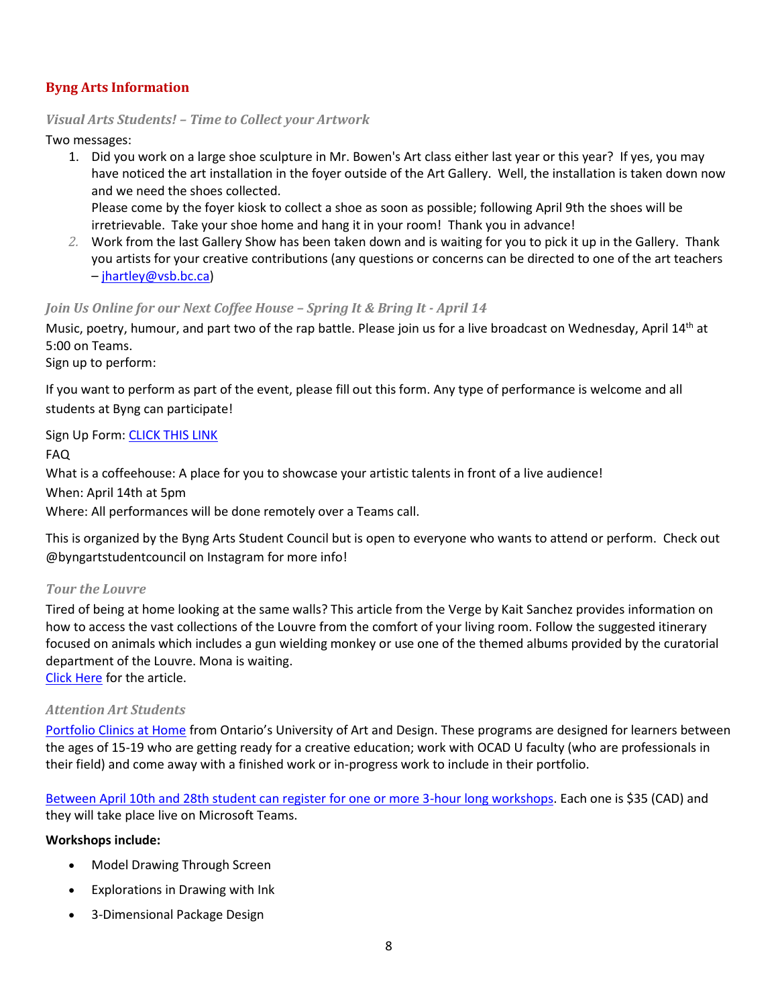# <span id="page-7-0"></span>**Byng Arts Information**

## <span id="page-7-1"></span>*Visual Arts Students! – Time to Collect your Artwork*

Two messages:

1. Did you work on a large shoe sculpture in Mr. Bowen's Art class either last year or this year? If yes, you may have noticed the art installation in the foyer outside of the Art Gallery. Well, the installation is taken down now and we need the shoes collected.

Please come by the foyer kiosk to collect a shoe as soon as possible; following April 9th the shoes will be irretrievable. Take your shoe home and hang it in your room! Thank you in advance!

*2.* Work from the last Gallery Show has been taken down and is waiting for you to pick it up in the Gallery. Thank you artists for your creative contributions (any questions or concerns can be directed to one of the art teachers – [jhartley@vsb.bc.ca\)](mailto:jhartley@vsb.bc.ca)

## <span id="page-7-2"></span>*Join Us Online for our Next Coffee House – Spring It & Bring It - April 14*

Music, poetry, humour, and part two of the rap battle. Please join us for a live broadcast on Wednesday, April 14<sup>th</sup> at 5:00 on Teams.

Sign up to perform:

If you want to perform as part of the event, please fill out this form. Any type of performance is welcome and all students at Byng can participate!

Sign Up Form: [CLICK THIS LINK](https://docs.google.com/forms/d/e/1FAIpQLSdq_UDU6OXbgxX7xakMww0PZ6Jjl-B8o5jyKajb_FxPsynJDg/viewform)

FAQ

What is a coffeehouse: A place for you to showcase your artistic talents in front of a live audience!

When: April 14th at 5pm

Where: All performances will be done remotely over a Teams call.

This is organized by the Byng Arts Student Council but is open to everyone who wants to attend or perform. Check out @byngartstudentcouncil on Instagram for more info!

# <span id="page-7-3"></span>*Tour the Louvre*

Tired of being at home looking at the same walls? This article from the Verge by Kait Sanchez provides information on how to access the vast collections of the Louvre from the comfort of your living room. Follow the suggested itinerary focused on animals which includes a gun wielding monkey or use one of the themed albums provided by the curatorial department of the Louvre. Mona is waiting. [Click Here](https://www.theverge.com/2021/3/29/22357261/louvre-museum-art-collections-online-animal-paintings) for the article.

# <span id="page-7-4"></span>*Attention Art Students*

[Portfolio Clinics at Home](https://mx.technolutions.net/ss/c/VpDhrCrvzjOrNk6AZ3TbHn8Q9rark4vajV4n5HStuuUKrzDYqN8Bw4t2Sjc6JNPX2VfeiWTQyJt-1GpfBa1c7w/3an/k4Ps-h1iRC-_CT-uOoCfsg/h7/1QRH6k43Yj6xPafQwcJ9VI7-kjl7F89hIlDXOuY-ZKU) from Ontario's University of Art and Design. These programs are designed for learners between the ages of 15-19 who are getting ready for a creative education; work with OCAD U faculty (who are professionals in their field) and come away with a finished work or in-progress work to include in their portfolio.

[Between April 10th and 28th student can register for one or more 3-hour long workshops.](https://mx.technolutions.net/ss/c/VpDhrCrvzjOrNk6AZ3TbHn8Q9rark4vajV4n5HStuuUKrzDYqN8Bw4t2Sjc6JNPX2VfeiWTQyJt-1GpfBa1c7w/3an/k4Ps-h1iRC-_CT-uOoCfsg/h8/MPAO5N8L08ltWEFTXWTUYVQcvRPdRA2JsT0H3viqzYE) Each one is \$35 (CAD) and they will take place live on Microsoft Teams.

## **Workshops include:**

- Model Drawing Through Screen
- Explorations in Drawing with Ink
- 3-Dimensional Package Design